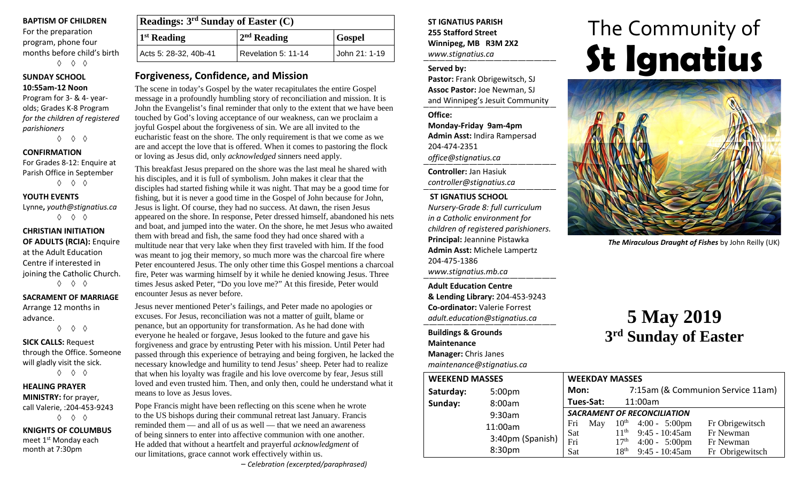#### **BAPTISM OF CHILDREN**

For the preparation program, phone four months before child's birth ◊ ◊ ◊

#### **SUNDAY SCHOOL 10:55am-12 Noon**

Program for 3- & 4- yearolds; Grades K-8 Program *for the children of registered parishioners*

◊ ◊ ◊

#### **CONFIRMATION**

For Grades 8-12: Enquire at Parish Office in September ◊ ◊ ◊

#### **YOUTH EVENTS**

Lynne**,** *youth@stignatius.ca* ◊ ◊ ◊

#### **CHRISTIAN INITIATION OF ADULTS (RCIA):** Enquire at the Adult Education Centre if interested in joining the Catholic Church. ◊ ◊ ◊

**SACRAMENT OF MARRIAGE**

Arrange 12 months in advance.

◊ ◊ ◊ **SICK CALLS:** Request through the Office. Someone will gladly visit the sick. ◊ ◊ ◊

**HEALING PRAYER MINISTRY:** for prayer, call Valerie, :204-453-9243 ◊ ◊ ◊

**KNIGHTS OF COLUMBUS** meet 1<sup>st</sup> Monday each month at 7:30pm

| Readings: $3rd$ Sunday of Easter (C) |                     |               |  |  |
|--------------------------------------|---------------------|---------------|--|--|
| <sup>1st</sup> Reading               | $2nd$ Reading       | <b>Gospel</b> |  |  |
| Acts 5: 28-32, 40b-41                | Revelation 5: 11-14 | John 21: 1-19 |  |  |

### **Forgiveness, Confidence, and Mission**

The scene in today's Gospel by the water recapitulates the entire Gospel message in a profoundly humbling story of reconciliation and mission. It is John the Evangelist's final reminder that only to the extent that we have been touched by God's loving acceptance of our weakness, can we proclaim a joyful Gospel about the forgiveness of sin. We are all invited to the eucharistic feast on the shore. The only requirement is that we come as we are and accept the love that is offered. When it comes to pastoring the flock or loving as Jesus did, only *acknowledged* sinners need apply.

This breakfast Jesus prepared on the shore was the last meal he shared with his disciples, and it is full of symbolism. John makes it clear that the disciples had started fishing while it was night. That may be a good time for fishing, but it is never a good time in the Gospel of John because for John, Jesus is light. Of course, they had no success. At dawn, the risen Jesus appeared on the shore. In response, Peter dressed himself, abandoned his nets and boat, and jumped into the water. On the shore, he met Jesus who awaited them with bread and fish, the same food they had once shared with a multitude near that very lake when they first traveled with him. If the food was meant to jog their memory, so much more was the charcoal fire where Peter encountered Jesus. The only other time this Gospel mentions a charcoal fire, Peter was warming himself by it while he denied knowing Jesus. Three times Jesus asked Peter, "Do you love me?" At this fireside, Peter would encounter Jesus as never before.

Jesus never mentioned Peter's failings, and Peter made no apologies or excuses. For Jesus, reconciliation was not a matter of guilt, blame or penance, but an opportunity for transformation. As he had done with everyone he healed or forgave, Jesus looked to the future and gave his forgiveness and grace by entrusting Peter with his mission. Until Peter had passed through this experience of betraying and being forgiven, he lacked the necessary knowledge and humility to tend Jesus' sheep. Peter had to realize that when his loyalty was fragile and his love overcome by fear, Jesus still loved and even trusted him. Then, and only then, could he understand what it means to love as Jesus loves.

Pope Francis might have been reflecting on this scene when he wrote to the US bishops during their communal retreat last January. Francis reminded them — and all of us as well — that we need an awareness of being sinners to enter into affective communion with one another. He added that without a heartfelt and prayerful *acknowledgment* of our limitations, grace cannot work effectively within us.

#### **ST IGNATIUS PARISH 255 Stafford Street Winnipeg, MB R3M 2X2** *www.stignatius.ca*

#### **Served by:**

**Pastor:** Frank Obrigewitsch, SJ **Assoc Pastor:** Joe Newman, SJ and Winnipeg's Jesuit Community

#### **Office:**

**Monday-Friday 9am-4pm Admin Asst:** Indira Rampersad 204-474-2351 *office@stignatius.ca*

**Controller:** Jan Hasiuk *controller@stignatius.ca*

#### **ST IGNATIUS SCHOOL**

*Nursery-Grade 8: full curriculum in a Catholic environment for children of registered parishioners.* **Principal:** Jeannine Pistawka **Admin Asst:** Michele Lampertz 204-475-1386 *www.stignatius.mb.ca*

**Adult Education Centre & Lending Library:** 204-453-9243 **Co-ordinator:** Valerie Forrest *adult.education@stignatius.ca*

## **Buildings & Grounds**

**Maintenance**

**Manager:** Chris Janes *maintenance@stignatius.ca*

# The Community of **St Ignatius**



*The Miraculous Draught of Fishes* by John Reilly (UK)

# **5 May 2019 3rd Sunday of Easter**

| <b>WEEKEND MASSES</b> |                    | <b>WEEKDAY MASSES</b>              |                  |                         |                                   |
|-----------------------|--------------------|------------------------------------|------------------|-------------------------|-----------------------------------|
| Saturday:             | 5:00 <sub>pm</sub> | Mon:                               |                  |                         | 7:15am (& Communion Service 11am) |
| Sunday:               | 8:00am             | Tues-Sat:                          |                  | 11:00am                 |                                   |
|                       | 9:30am             | <b>SACRAMENT OF RECONCILIATION</b> |                  |                         |                                   |
|                       | 11:00am            | Fri<br>May                         | $10^{\rm th}$    | $4:00 - 5:00 \text{pm}$ | Fr Obrigewitsch                   |
|                       | 3:40pm (Spanish)   | Sat                                | 11 <sup>th</sup> | $9:45 - 10:45$ am       | Fr Newman                         |
|                       |                    | Fri                                | 17 <sup>th</sup> | $4:00 - 5:00 \text{pm}$ | Fr Newman                         |
|                       | 8:30pm             | Sat                                | 18 <sup>th</sup> | 9:45 - 10:45am          | Fr Obrigewitsch                   |